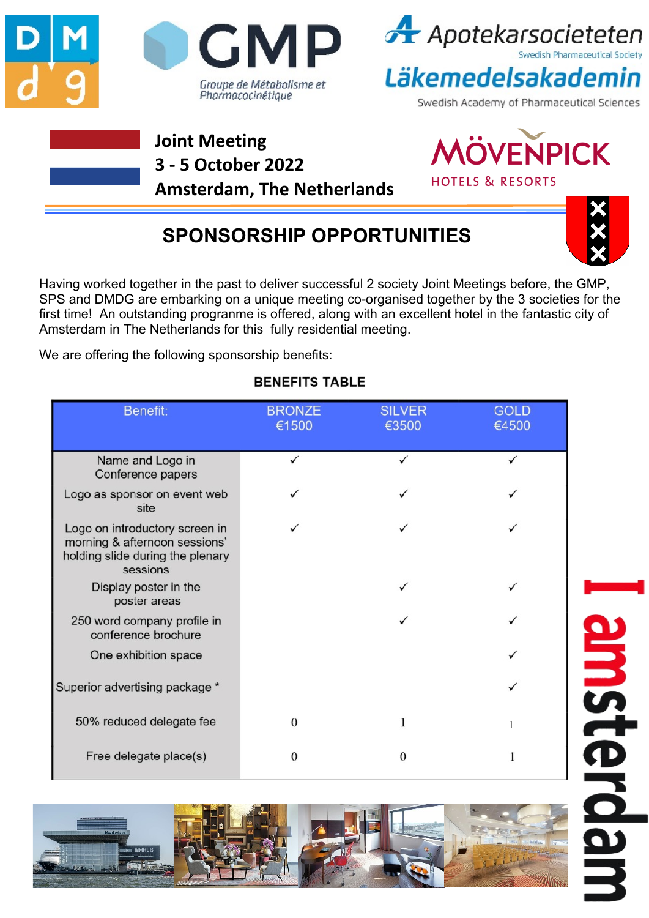



Läkemedelsakademin

Swedish Academy of Pharmaceutical Sciences

### **Joint Meeting 3 - 5 October 2022 Amsterdam, The Netherlands**



**SPONSORSHIP OPPORTUNITIES**



Having worked together in the past to deliver successful 2 society Joint Meetings before, the GMP, SPS and DMDG are embarking on a unique meeting co-organised together by the 3 societies for the first time! An outstanding progranme is offered, along with an excellent hotel in the fantastic city of Amsterdam in The Netherlands for this fully residential meeting.

We are offering the following sponsorship benefits:

#### **BENEFITS TABLE**

| Benefit:                                                                                                        | <b>BRONZE</b><br>€1500 | <b>SILVER</b><br>€3500 | <b>GOLD</b><br>€4500 |
|-----------------------------------------------------------------------------------------------------------------|------------------------|------------------------|----------------------|
|                                                                                                                 |                        |                        |                      |
| Name and Logo in<br>Conference papers                                                                           |                        |                        |                      |
| Logo as sponsor on event web<br>site                                                                            |                        |                        |                      |
| Logo on introductory screen in<br>morning & afternoon sessions'<br>holding slide during the plenary<br>sessions |                        |                        |                      |
| Display poster in the<br>poster areas                                                                           |                        |                        |                      |
| 250 word company profile in<br>conference brochure                                                              |                        |                        |                      |
| One exhibition space                                                                                            |                        |                        |                      |
| Superior advertising package *                                                                                  |                        |                        |                      |
| 50% reduced delegate fee                                                                                        | $\Omega$               |                        | 1                    |
| Free delegate place(s)                                                                                          | 0                      |                        |                      |